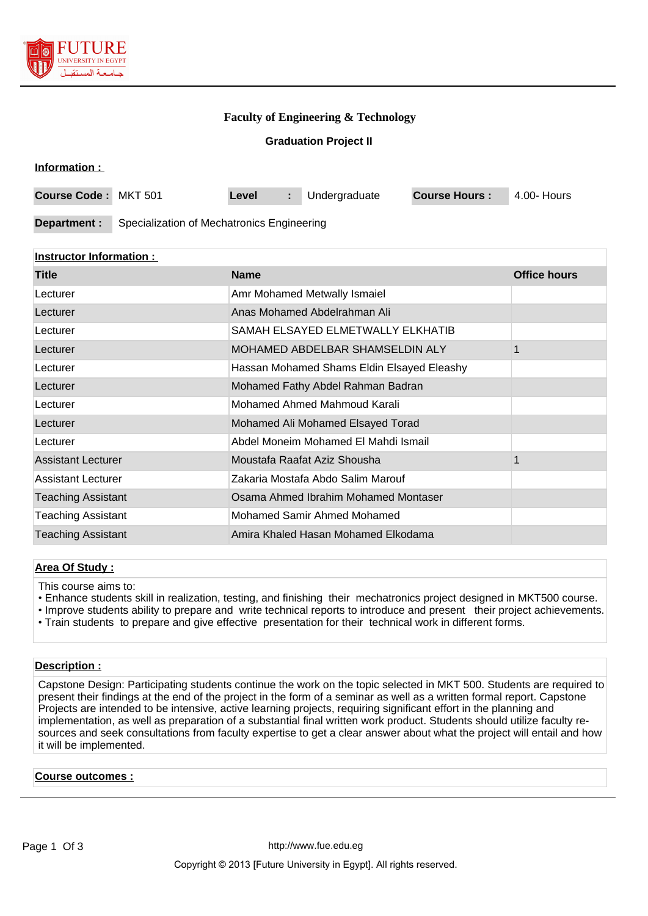

### **Faculty of Engineering & Technology**

**Graduation Project II**

| Information : |  |
|---------------|--|
|               |  |

| Course Code: MKT 501 |                                            | Level |  | Undergraduate | <b>Course Hours:</b> | 4.00- Hours |
|----------------------|--------------------------------------------|-------|--|---------------|----------------------|-------------|
|                      |                                            |       |  |               |                      |             |
| Department :         | Specialization of Mechatronics Engineering |       |  |               |                      |             |

### **Instructor Information :**

| <b>Title</b>              | <b>Name</b>                                | <b>Office hours</b> |
|---------------------------|--------------------------------------------|---------------------|
| Lecturer                  | Amr Mohamed Metwally Ismaiel               |                     |
| Lecturer                  | Anas Mohamed Abdelrahman Ali               |                     |
| Lecturer                  | SAMAH ELSAYED ELMETWALLY ELKHATIB          |                     |
| Lecturer                  | MOHAMED ABDELBAR SHAMSELDIN ALY            |                     |
| Lecturer                  | Hassan Mohamed Shams Eldin Elsayed Eleashy |                     |
| Lecturer                  | Mohamed Fathy Abdel Rahman Badran          |                     |
| Lecturer                  | Mohamed Ahmed Mahmoud Karali               |                     |
| Lecturer                  | Mohamed Ali Mohamed Elsayed Torad          |                     |
| Lecturer                  | Abdel Moneim Mohamed El Mahdi Ismail       |                     |
| <b>Assistant Lecturer</b> | Moustafa Raafat Aziz Shousha               |                     |
| Assistant Lecturer        | Zakaria Mostafa Abdo Salim Marouf          |                     |
| <b>Teaching Assistant</b> | Osama Ahmed Ibrahim Mohamed Montaser       |                     |
| <b>Teaching Assistant</b> | Mohamed Samir Ahmed Mohamed                |                     |
| <b>Teaching Assistant</b> | Amira Khaled Hasan Mohamed Elkodama        |                     |

### **Area Of Study :**

This course aims to:

- Enhance students skill in realization, testing, and finishing their mechatronics project designed in MKT500 course.
- Improve students ability to prepare and write technical reports to introduce and present their project achievements.
- Train students to prepare and give effective presentation for their technical work in different forms.

### **Description :**

Capstone Design: Participating students continue the work on the topic selected in MKT 500. Students are required to present their findings at the end of the project in the form of a seminar as well as a written formal report. Capstone Projects are intended to be intensive, active learning projects, requiring significant effort in the planning and implementation, as well as preparation of a substantial final written work product. Students should utilize faculty resources and seek consultations from faculty expertise to get a clear answer about what the project will entail and how it will be implemented.

#### **Course outcomes :**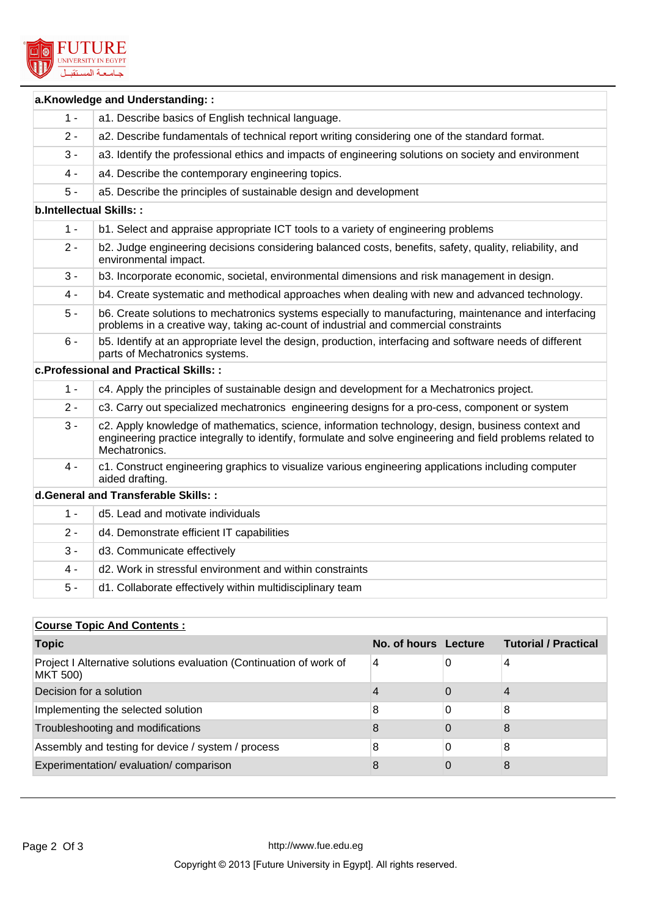

|                                | a.Knowledge and Understanding::                                                                                                                                                                                                  |
|--------------------------------|----------------------------------------------------------------------------------------------------------------------------------------------------------------------------------------------------------------------------------|
| $1 -$                          | a1. Describe basics of English technical language.                                                                                                                                                                               |
| $2 -$                          | a2. Describe fundamentals of technical report writing considering one of the standard format.                                                                                                                                    |
| $3 -$                          | a3. Identify the professional ethics and impacts of engineering solutions on society and environment                                                                                                                             |
| $4 -$                          | a4. Describe the contemporary engineering topics.                                                                                                                                                                                |
| $5 -$                          | a5. Describe the principles of sustainable design and development                                                                                                                                                                |
| <b>b.Intellectual Skills::</b> |                                                                                                                                                                                                                                  |
| $1 -$                          | b1. Select and appraise appropriate ICT tools to a variety of engineering problems                                                                                                                                               |
| $2 -$                          | b2. Judge engineering decisions considering balanced costs, benefits, safety, quality, reliability, and<br>environmental impact.                                                                                                 |
| $3 -$                          | b3. Incorporate economic, societal, environmental dimensions and risk management in design.                                                                                                                                      |
| 4 -                            | b4. Create systematic and methodical approaches when dealing with new and advanced technology.                                                                                                                                   |
| $5 -$                          | b6. Create solutions to mechatronics systems especially to manufacturing, maintenance and interfacing<br>problems in a creative way, taking ac-count of industrial and commercial constraints                                    |
| $6 -$                          | b5. Identify at an appropriate level the design, production, interfacing and software needs of different<br>parts of Mechatronics systems.                                                                                       |
|                                | c. Professional and Practical Skills: :                                                                                                                                                                                          |
| $1 -$                          | c4. Apply the principles of sustainable design and development for a Mechatronics project.                                                                                                                                       |
| $2 -$                          | c3. Carry out specialized mechatronics engineering designs for a pro-cess, component or system                                                                                                                                   |
| $3 -$                          | c2. Apply knowledge of mathematics, science, information technology, design, business context and<br>engineering practice integrally to identify, formulate and solve engineering and field problems related to<br>Mechatronics. |
| $4 -$                          | c1. Construct engineering graphics to visualize various engineering applications including computer<br>aided drafting.                                                                                                           |
|                                | d.General and Transferable Skills: :                                                                                                                                                                                             |
| $1 -$                          | d5. Lead and motivate individuals                                                                                                                                                                                                |
| $2 -$                          | d4. Demonstrate efficient IT capabilities                                                                                                                                                                                        |
| $3 -$                          | d3. Communicate effectively                                                                                                                                                                                                      |
| $4 -$                          | d2. Work in stressful environment and within constraints                                                                                                                                                                         |
| $5 -$                          | d1. Collaborate effectively within multidisciplinary team                                                                                                                                                                        |

# **Course Topic And Contents :**

| <b>Topic</b>                                                                           | No. of hours Lecture | <b>Tutorial / Practical</b> |
|----------------------------------------------------------------------------------------|----------------------|-----------------------------|
| Project I Alternative solutions evaluation (Continuation of work of<br><b>MKT 500)</b> | 4                    | 4                           |
| Decision for a solution                                                                | 4                    | 4                           |
| Implementing the selected solution                                                     | 8                    | 8                           |
| Troubleshooting and modifications                                                      | 8                    | 8                           |
| Assembly and testing for device / system / process                                     | 8                    | 8                           |
| Experimentation/evaluation/comparison                                                  | 8                    | 8                           |